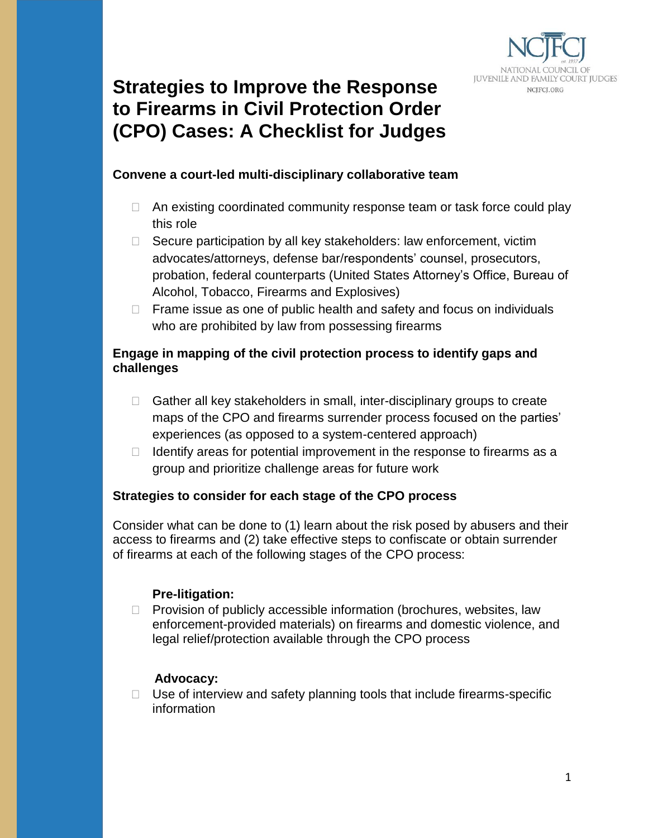

# **Strategies to Improve the Response to Firearms in Civil Protection Order (CPO) Cases: A Checklist for Judges**

#### **Convene a court-led multi-disciplinary collaborative team**

- $\Box$  An existing coordinated community response team or task force could play this role
- $\Box$  Secure participation by all key stakeholders: law enforcement, victim advocates/attorneys, defense bar/respondents' counsel, prosecutors, probation, federal counterparts (United States Attorney's Office, Bureau of Alcohol, Tobacco, Firearms and Explosives)
- $\Box$  Frame issue as one of public health and safety and focus on individuals who are prohibited by law from possessing firearms

#### **Engage in mapping of the civil protection process to identify gaps and challenges**

- $\Box$  Gather all key stakeholders in small, inter-disciplinary groups to create maps of the CPO and firearms surrender process focused on the parties' experiences (as opposed to a system-centered approach)
- $\Box$  Identify areas for potential improvement in the response to firearms as a group and prioritize challenge areas for future work

## **Strategies to consider for each stage of the CPO process**

Consider what can be done to (1) learn about the risk posed by abusers and their access to firearms and (2) take effective steps to confiscate or obtain surrender of firearms at each of the following stages of the CPO process:

#### **Pre-litigation:**

 $\Box$  Provision of publicly accessible information (brochures, websites, law enforcement-provided materials) on firearms and domestic violence, and legal relief/protection available through the CPO process

## **Advocacy:**

 $\Box$  Use of interview and safety planning tools that include firearms-specific information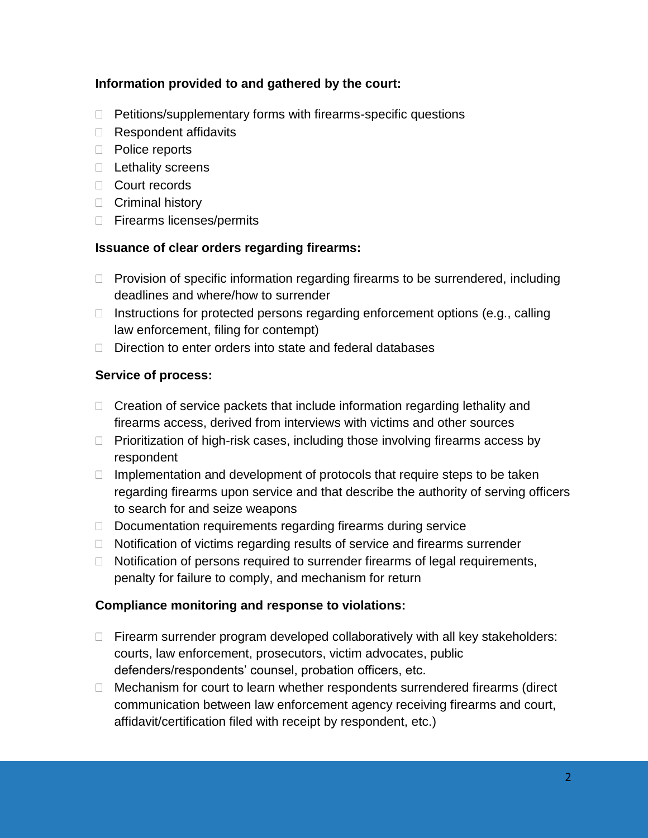## **Information provided to and gathered by the court:**

- $\Box$  Petitions/supplementary forms with firearms-specific questions
- $\Box$  Respondent affidavits
- D Police reports
- $\Box$  Lethality screens
- □ Court records
- $\Box$  Criminal history
- □ Firearms licenses/permits

#### **Issuance of clear orders regarding firearms:**

- $\Box$  Provision of specific information regarding firearms to be surrendered, including deadlines and where/how to surrender
- $\Box$  Instructions for protected persons regarding enforcement options (e.g., calling law enforcement, filing for contempt)
- $\Box$  Direction to enter orders into state and federal databases

## **Service of process:**

- $\Box$  Creation of service packets that include information regarding lethality and firearms access, derived from interviews with victims and other sources
- $\Box$  Prioritization of high-risk cases, including those involving firearms access by respondent
- $\Box$  Implementation and development of protocols that require steps to be taken regarding firearms upon service and that describe the authority of serving officers to search for and seize weapons
- $\Box$  Documentation requirements regarding firearms during service
- □ Notification of victims regarding results of service and firearms surrender
- $\Box$  Notification of persons required to surrender firearms of legal requirements, penalty for failure to comply, and mechanism for return

## **Compliance monitoring and response to violations:**

- $\Box$  Firearm surrender program developed collaboratively with all key stakeholders: courts, law enforcement, prosecutors, victim advocates, public defenders/respondents' counsel, probation officers, etc.
- $\Box$  Mechanism for court to learn whether respondents surrendered firearms (direct communication between law enforcement agency receiving firearms and court, affidavit/certification filed with receipt by respondent, etc.)